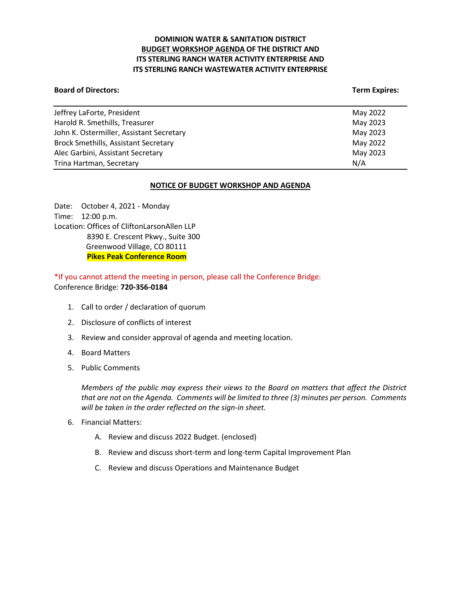# **DOMINION WATER & SANITATION DISTRICT BUDGET WORKSHOP AGENDA OF THE DISTRICT AND ITS STERLING RANCH WATER ACTIVITY ENTERPRISE AND ITS STERLING RANCH WASTEWATER ACTIVITY ENTERPRISE**

#### **Board of Directors:** Term Expires: Term Expires: Term Expires: Term Expires: Term Expires: Term Expires: Term Expires: Term Expires: Term Expires: Term Expires: Term Expires: Term Expires: Term Expires: Term Expires: Term

| May 2022 |
|----------|
| May 2023 |
| May 2023 |
| May 2022 |
| May 2023 |
| N/A      |
|          |

## **NOTICE OF BUDGET WORKSHOP AND AGENDA**

Date: October 4, 2021 - Monday Time: 12:00 p.m. Location: Offices of CliftonLarsonAllen LLP 8390 E. Crescent Pkwy., Suite 300 Greenwood Village, CO 80111 **Pikes Peak Conference Room**

\*If you cannot attend the meeting in person, please call the Conference Bridge: Conference Bridge: **720-356-0184**

- 1. Call to order / declaration of quorum
- 2. Disclosure of conflicts of interest
- 3. Review and consider approval of agenda and meeting location.
- 4. Board Matters
- 5. Public Comments

*Members of the public may express their views to the Board on matters that affect the District that are not on the Agenda. Comments will be limited to three (3) minutes per person. Comments will be taken in the order reflected on the sign-in sheet.* 

- 6. Financial Matters:
	- A. Review and discuss 2022 Budget. (enclosed)
	- B. Review and discuss short-term and long-term Capital Improvement Plan
	- C. Review and discuss Operations and Maintenance Budget